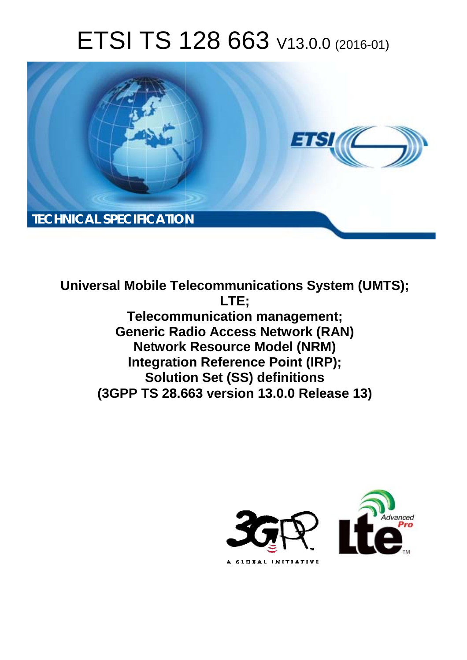# ETSI TS 128 663 V13.0.0 (2016-01)



**Universal Mobile Tel elecommunications System ( (UMTS); Telecomm munication management; Generic Radio Access Network (RAN) Network Resource Model (NRM) Integration Reference Point (IRP); Solutio tion Set (SS) definitions (3GPP TS 28.6 .663 version 13.0.0 Release 13 13) LTE;** 

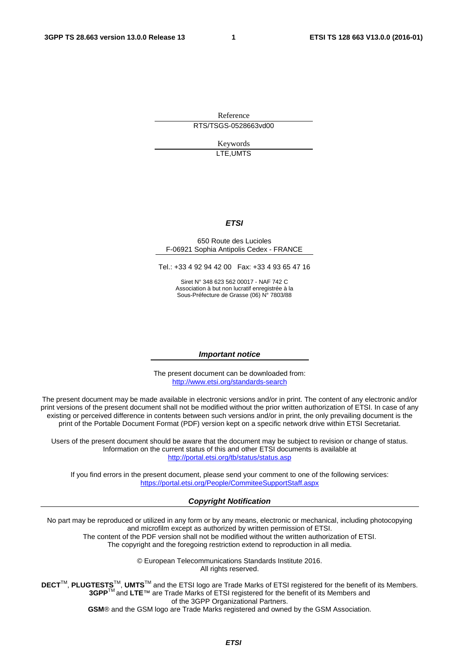Reference RTS/TSGS-0528663vd00

> Keywords LTE,UMTS

#### *ETSI*

#### 650 Route des Lucioles F-06921 Sophia Antipolis Cedex - FRANCE

Tel.: +33 4 92 94 42 00 Fax: +33 4 93 65 47 16

Siret N° 348 623 562 00017 - NAF 742 C Association à but non lucratif enregistrée à la Sous-Préfecture de Grasse (06) N° 7803/88

#### *Important notice*

The present document can be downloaded from: <http://www.etsi.org/standards-search>

The present document may be made available in electronic versions and/or in print. The content of any electronic and/or print versions of the present document shall not be modified without the prior written authorization of ETSI. In case of any existing or perceived difference in contents between such versions and/or in print, the only prevailing document is the print of the Portable Document Format (PDF) version kept on a specific network drive within ETSI Secretariat.

Users of the present document should be aware that the document may be subject to revision or change of status. Information on the current status of this and other ETSI documents is available at <http://portal.etsi.org/tb/status/status.asp>

If you find errors in the present document, please send your comment to one of the following services: <https://portal.etsi.org/People/CommiteeSupportStaff.aspx>

#### *Copyright Notification*

No part may be reproduced or utilized in any form or by any means, electronic or mechanical, including photocopying and microfilm except as authorized by written permission of ETSI.

The content of the PDF version shall not be modified without the written authorization of ETSI. The copyright and the foregoing restriction extend to reproduction in all media.

> © European Telecommunications Standards Institute 2016. All rights reserved.

**DECT**TM, **PLUGTESTS**TM, **UMTS**TM and the ETSI logo are Trade Marks of ETSI registered for the benefit of its Members. **3GPP**TM and **LTE**™ are Trade Marks of ETSI registered for the benefit of its Members and of the 3GPP Organizational Partners.

**GSM**® and the GSM logo are Trade Marks registered and owned by the GSM Association.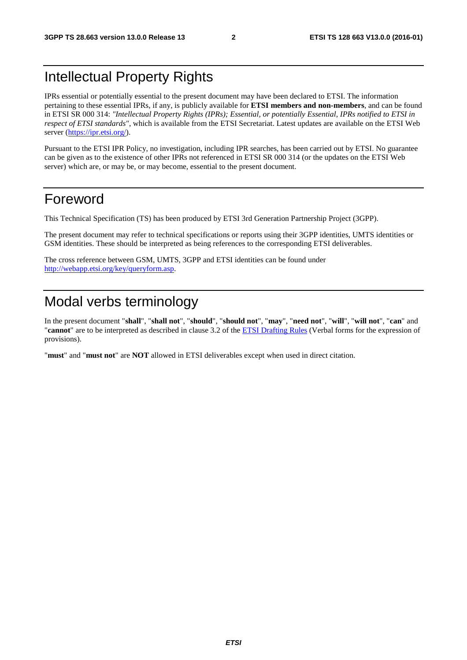## Intellectual Property Rights

IPRs essential or potentially essential to the present document may have been declared to ETSI. The information pertaining to these essential IPRs, if any, is publicly available for **ETSI members and non-members**, and can be found in ETSI SR 000 314: *"Intellectual Property Rights (IPRs); Essential, or potentially Essential, IPRs notified to ETSI in respect of ETSI standards"*, which is available from the ETSI Secretariat. Latest updates are available on the ETSI Web server [\(https://ipr.etsi.org/](https://ipr.etsi.org/)).

Pursuant to the ETSI IPR Policy, no investigation, including IPR searches, has been carried out by ETSI. No guarantee can be given as to the existence of other IPRs not referenced in ETSI SR 000 314 (or the updates on the ETSI Web server) which are, or may be, or may become, essential to the present document.

### Foreword

This Technical Specification (TS) has been produced by ETSI 3rd Generation Partnership Project (3GPP).

The present document may refer to technical specifications or reports using their 3GPP identities, UMTS identities or GSM identities. These should be interpreted as being references to the corresponding ETSI deliverables.

The cross reference between GSM, UMTS, 3GPP and ETSI identities can be found under <http://webapp.etsi.org/key/queryform.asp>.

## Modal verbs terminology

In the present document "**shall**", "**shall not**", "**should**", "**should not**", "**may**", "**need not**", "**will**", "**will not**", "**can**" and "**cannot**" are to be interpreted as described in clause 3.2 of the [ETSI Drafting Rules](http://portal.etsi.org/Help/editHelp!/Howtostart/ETSIDraftingRules.aspx) (Verbal forms for the expression of provisions).

"**must**" and "**must not**" are **NOT** allowed in ETSI deliverables except when used in direct citation.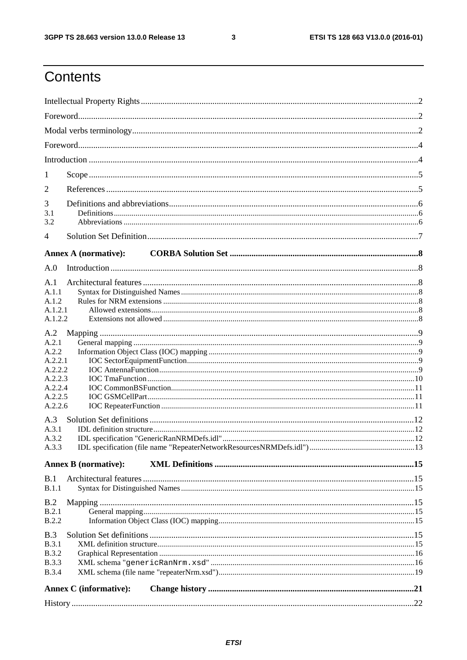$\mathbf{3}$ 

## Contents

| 1                  |                               |  |  |  |  |  |  |
|--------------------|-------------------------------|--|--|--|--|--|--|
| 2                  |                               |  |  |  |  |  |  |
|                    |                               |  |  |  |  |  |  |
| 3<br>3.1           |                               |  |  |  |  |  |  |
| 3.2                |                               |  |  |  |  |  |  |
| 4                  |                               |  |  |  |  |  |  |
|                    | <b>Annex A (normative):</b>   |  |  |  |  |  |  |
| A.0                |                               |  |  |  |  |  |  |
|                    |                               |  |  |  |  |  |  |
| A.1<br>A.1.1       |                               |  |  |  |  |  |  |
| A.1.2              |                               |  |  |  |  |  |  |
| A.1.2.1            |                               |  |  |  |  |  |  |
| A.1.2.2            |                               |  |  |  |  |  |  |
| A.2                |                               |  |  |  |  |  |  |
| A.2.1              |                               |  |  |  |  |  |  |
| A.2.2              |                               |  |  |  |  |  |  |
| A.2.2.1<br>A.2.2.2 |                               |  |  |  |  |  |  |
| A.2.2.3            |                               |  |  |  |  |  |  |
| A.2.2.4            |                               |  |  |  |  |  |  |
| A.2.2.5            |                               |  |  |  |  |  |  |
| A.2.2.6            |                               |  |  |  |  |  |  |
| A.3                |                               |  |  |  |  |  |  |
| A.3.1              |                               |  |  |  |  |  |  |
| A.3.2              |                               |  |  |  |  |  |  |
| A.3.3              |                               |  |  |  |  |  |  |
|                    | <b>Annex B</b> (normative):   |  |  |  |  |  |  |
| B.1                |                               |  |  |  |  |  |  |
| <b>B.1.1</b>       |                               |  |  |  |  |  |  |
| B.2                |                               |  |  |  |  |  |  |
| B.2.1              |                               |  |  |  |  |  |  |
| <b>B.2.2</b>       |                               |  |  |  |  |  |  |
| B.3                |                               |  |  |  |  |  |  |
| <b>B.3.1</b>       |                               |  |  |  |  |  |  |
| <b>B.3.2</b>       |                               |  |  |  |  |  |  |
| <b>B.3.3</b>       |                               |  |  |  |  |  |  |
| <b>B.3.4</b>       |                               |  |  |  |  |  |  |
|                    | <b>Annex C</b> (informative): |  |  |  |  |  |  |
|                    |                               |  |  |  |  |  |  |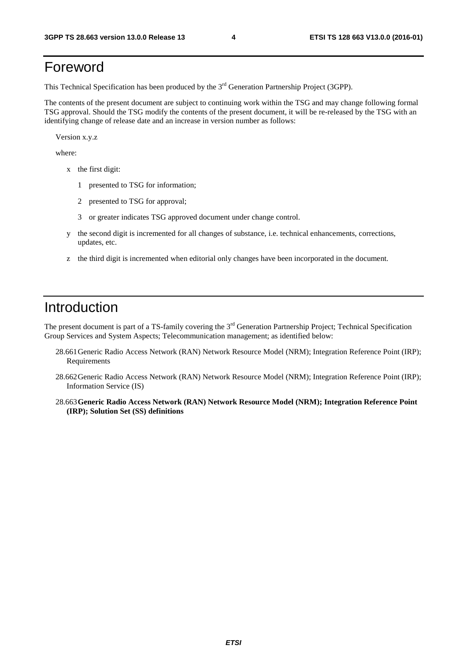## Foreword

This Technical Specification has been produced by the 3<sup>rd</sup> Generation Partnership Project (3GPP).

The contents of the present document are subject to continuing work within the TSG and may change following formal TSG approval. Should the TSG modify the contents of the present document, it will be re-released by the TSG with an identifying change of release date and an increase in version number as follows:

Version x.y.z

where:

- x the first digit:
	- 1 presented to TSG for information;
	- 2 presented to TSG for approval;
	- 3 or greater indicates TSG approved document under change control.
- y the second digit is incremented for all changes of substance, i.e. technical enhancements, corrections, updates, etc.
- z the third digit is incremented when editorial only changes have been incorporated in the document.

### Introduction

The present document is part of a TS-family covering the 3<sup>rd</sup> Generation Partnership Project; Technical Specification Group Services and System Aspects; Telecommunication management; as identified below:

- 28.661 Generic Radio Access Network (RAN) Network Resource Model (NRM); Integration Reference Point (IRP); **Requirements**
- 28.662 Generic Radio Access Network (RAN) Network Resource Model (NRM); Integration Reference Point (IRP); Information Service (IS)
- 28.663 **Generic Radio Access Network (RAN) Network Resource Model (NRM); Integration Reference Point (IRP); Solution Set (SS) definitions**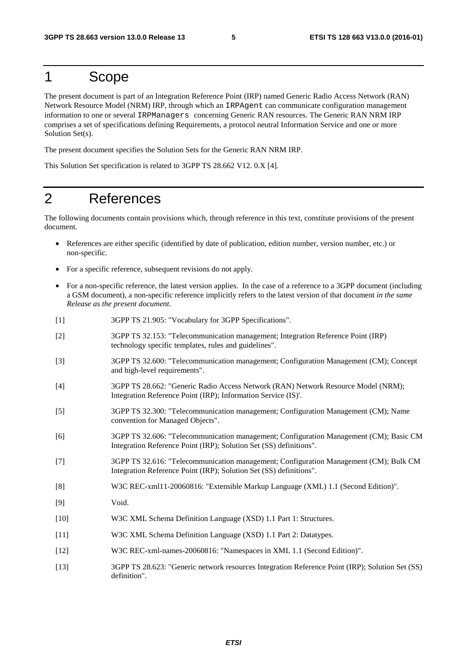### 1 Scope

The present document is part of an Integration Reference Point (IRP) named Generic Radio Access Network (RAN) Network Resource Model (NRM) IRP, through which an IRPAgent can communicate configuration management information to one or several IRPManagers concerning Generic RAN resources. The Generic RAN NRM IRP comprises a set of specifications defining Requirements, a protocol neutral Information Service and one or more Solution Set(s).

The present document specifies the Solution Sets for the Generic RAN NRM IRP.

This Solution Set specification is related to 3GPP TS 28.662 V12. 0.X [4].

### 2 References

The following documents contain provisions which, through reference in this text, constitute provisions of the present document.

- References are either specific (identified by date of publication, edition number, version number, etc.) or non-specific.
- For a specific reference, subsequent revisions do not apply.
- For a non-specific reference, the latest version applies. In the case of a reference to a 3GPP document (including a GSM document), a non-specific reference implicitly refers to the latest version of that document *in the same Release as the present document*.
- [1] 3GPP TS 21.905: "Vocabulary for 3GPP Specifications".
- [2] 3GPP TS 32.153: "Telecommunication management; Integration Reference Point (IRP) technology specific templates, rules and guidelines".
- [3] 3GPP TS 32.600: "Telecommunication management; Configuration Management (CM); Concept and high-level requirements".
- [4] 3GPP TS 28.662: "Generic Radio Access Network (RAN) Network Resource Model (NRM); Integration Reference Point (IRP); Information Service (IS)'.
- [5] 3GPP TS 32.300: "Telecommunication management; Configuration Management (CM); Name convention for Managed Objects".
- [6] 3GPP TS 32.606: "Telecommunication management; Configuration Management (CM); Basic CM Integration Reference Point (IRP); Solution Set (SS) definitions".
- [7] 3GPP TS 32.616: "Telecommunication management; Configuration Management (CM); Bulk CM Integration Reference Point (IRP); Solution Set (SS) definitions".
- [8] W3C REC-xml11-20060816: "Extensible Markup Language (XML) 1.1 (Second Edition)".
- [9] Void.
- [10] W3C XML Schema Definition Language (XSD) 1.1 Part 1: Structures.
- [11] W3C XML Schema Definition Language (XSD) 1.1 Part 2: Datatypes.
- [12] W3C REC-xml-names-20060816: "Namespaces in XML 1.1 (Second Edition)".
- [13] 3GPP TS 28.623: "Generic network resources Integration Reference Point (IRP); Solution Set (SS) definition".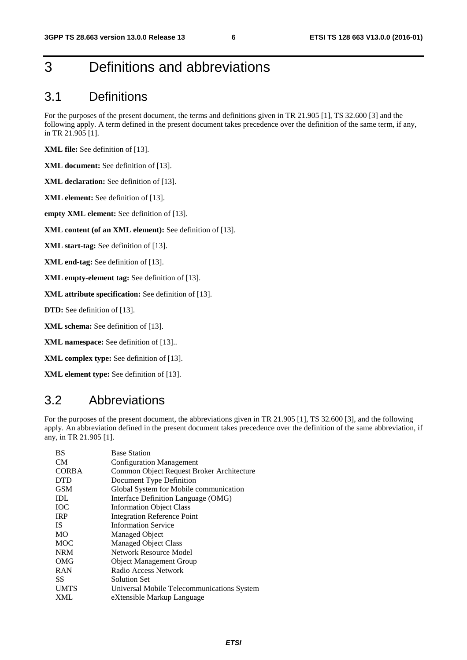## 3 Definitions and abbreviations

#### 3.1 Definitions

For the purposes of the present document, the terms and definitions given in TR 21.905 [1], TS 32.600 [3] and the following apply. A term defined in the present document takes precedence over the definition of the same term, if any, in TR 21.905 [1].

**XML file:** See definition of [13].

**XML document:** See definition of [13].

**XML declaration:** See definition of [13].

**XML element:** See definition of [13].

**empty XML element:** See definition of [13].

**XML content (of an XML element):** See definition of [13].

**XML start-tag:** See definition of [13].

**XML end-tag:** See definition of [13].

**XML empty-element tag:** See definition of [13].

**XML attribute specification:** See definition of [13].

**DTD:** See definition of [13].

**XML schema:** See definition of [13].

**XML namespace:** See definition of [13]..

**XML complex type:** See definition of [13].

**XML element type:** See definition of [13].

#### 3.2 Abbreviations

For the purposes of the present document, the abbreviations given in TR 21.905 [1], TS 32.600 [3], and the following apply. An abbreviation defined in the present document takes precedence over the definition of the same abbreviation, if any, in TR 21.905 [1].

| BS           | <b>Base Station</b>                        |
|--------------|--------------------------------------------|
| <b>CM</b>    | <b>Configuration Management</b>            |
| <b>CORBA</b> | Common Object Request Broker Architecture  |
| <b>DTD</b>   | Document Type Definition                   |
| <b>GSM</b>   | Global System for Mobile communication     |
| IDL          | Interface Definition Language (OMG)        |
| <b>IOC</b>   | <b>Information Object Class</b>            |
| <b>IRP</b>   | <b>Integration Reference Point</b>         |
| <b>IS</b>    | <b>Information Service</b>                 |
| <b>MO</b>    | Managed Object                             |
| <b>MOC</b>   | <b>Managed Object Class</b>                |
| <b>NRM</b>   | Network Resource Model                     |
| OMG          | <b>Object Management Group</b>             |
| <b>RAN</b>   | Radio Access Network                       |
| SS           | Solution Set                               |
| <b>UMTS</b>  | Universal Mobile Telecommunications System |
| <b>XML</b>   | eXtensible Markup Language                 |
|              |                                            |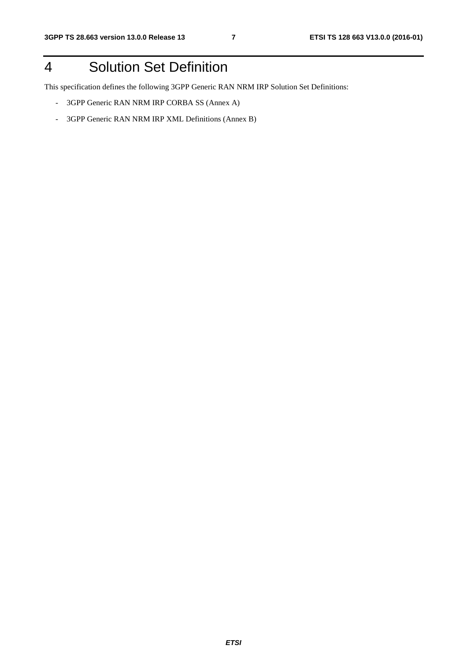## 4 Solution Set Definition

This specification defines the following 3GPP Generic RAN NRM IRP Solution Set Definitions:

- 3GPP Generic RAN NRM IRP CORBA SS (Annex A)
- 3GPP Generic RAN NRM IRP XML Definitions (Annex B)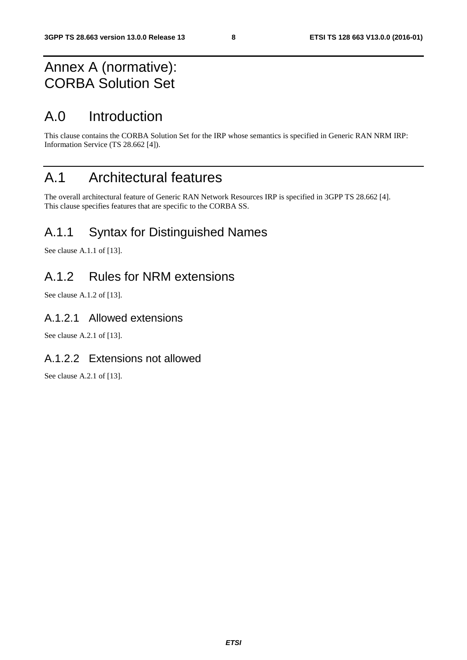## Annex A (normative): CORBA Solution Set

## A.0 Introduction

This clause contains the CORBA Solution Set for the IRP whose semantics is specified in Generic RAN NRM IRP: Information Service (TS 28.662 [4]).

## A.1 Architectural features

The overall architectural feature of Generic RAN Network Resources IRP is specified in 3GPP TS 28.662 [4]. This clause specifies features that are specific to the CORBA SS.

### A.1.1 Syntax for Distinguished Names

See clause A.1.1 of [13].

### A.1.2 Rules for NRM extensions

See clause A.1.2 of [13].

#### A.1.2.1 Allowed extensions

See clause A.2.1 of [13].

#### A.1.2.2 Extensions not allowed

See clause A.2.1 of [13].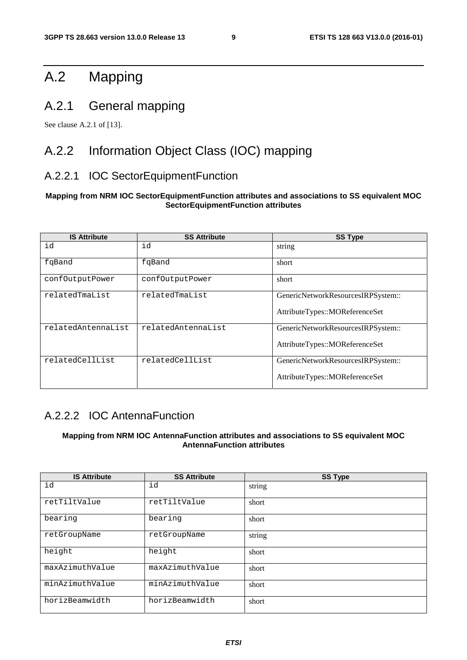## A.2 Mapping

### A.2.1 General mapping

See clause A.2.1 of [13].

### A.2.2 Information Object Class (IOC) mapping

#### A.2.2.1 IOC SectorEquipmentFunction

#### **Mapping from NRM IOC SectorEquipmentFunction attributes and associations to SS equivalent MOC SectorEquipmentFunction attributes**

| <b>IS Attribute</b> | <b>SS Attribute</b> | <b>SS Type</b>                                                       |
|---------------------|---------------------|----------------------------------------------------------------------|
| id                  | id                  | string                                                               |
| fqBand              | fqBand              | short                                                                |
| confOutputPower     | confOutputPower     | short                                                                |
| relatedTmaList      | relatedTmaList      | GenericNetworkResourcesIRPSystem::<br>AttributeTypes::MOReferenceSet |
| relatedAntennaList  | relatedAntennaList  | GenericNetworkResourcesIRPSystem::<br>AttributeTypes::MOReferenceSet |
| relatedCellList     | relatedCellList     | GenericNetworkResourcesIRPSystem::<br>AttributeTypes::MOReferenceSet |

#### A.2.2.2 IOC AntennaFunction

#### **Mapping from NRM IOC AntennaFunction attributes and associations to SS equivalent MOC AntennaFunction attributes**

| <b>IS Attribute</b> | <b>SS Attribute</b> | <b>SS Type</b> |
|---------------------|---------------------|----------------|
| id                  | id                  | string         |
| retTiltValue        | retTiltValue        | short          |
| bearing             | bearing             | short          |
| retGroupName        | retGroupName        | string         |
| height              | height              | short          |
| maxAzimuthValue     | maxAzimuthValue     | short          |
| minAzimuthValue     | minAzimuthValue     | short          |
| horizBeamwidth      | horizBeamwidth      | short          |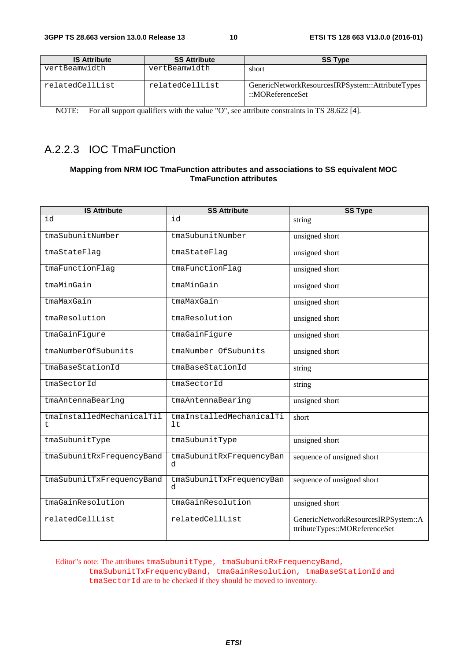| <b>IS Attribute</b> | <b>SS Attribute</b> | <b>SS Type</b>                                                                  |
|---------------------|---------------------|---------------------------------------------------------------------------------|
| vertBeamwidth       | vertBeamwidth       | short                                                                           |
| relatedCellList     | relatedCellList     | GenericNetworkResourcesIRPSystem::AttributeTypes<br>$\therefore$ MOReferenceSet |

NOTE: For all support qualifiers with the value "O", see attribute constraints in TS 28.622 [4].

#### A.2.2.3 IOC TmaFunction

#### **Mapping from NRM IOC TmaFunction attributes and associations to SS equivalent MOC TmaFunction attributes**

| <b>IS Attribute</b>             | <b>SS Attribute</b>              | <b>SS Type</b>                                                       |
|---------------------------------|----------------------------------|----------------------------------------------------------------------|
| id                              | id                               | string                                                               |
| tmaSubunitNumber                | tmaSubunitNumber                 | unsigned short                                                       |
| tmaStateFlag                    | tmaStateFlag                     | unsigned short                                                       |
| tmaFunctionFlag                 | tmaFunctionFlag                  | unsigned short                                                       |
| tmaMinGain                      | tmaMinGain                       | unsigned short                                                       |
| tmaMaxGain                      | tmaMaxGain                       | unsigned short                                                       |
| tmaResolution                   | tmaResolution                    | unsigned short                                                       |
| tmaGainFigure                   | tmaGainFigure                    | unsigned short                                                       |
| tmaNumberOfSubunits             | tmaNumber OfSubunits             | unsigned short                                                       |
| tmaBaseStationId                | tmaBaseStationId                 | string                                                               |
| tmaSectorId                     | tmaSectorId                      | string                                                               |
| tmaAntennaBearing               | tmaAntennaBearing                | unsigned short                                                       |
| tmaInstalledMechanicalTil<br>t. | tmaInstalledMechanicalTi<br>1 t. | short                                                                |
| tmaSubunitType                  | tmaSubunitType                   | unsigned short                                                       |
| tmaSubunitRxFrequencyBand       | tmaSubunitRxFrequencyBan<br>d    | sequence of unsigned short                                           |
| tmaSubunitTxFrequencyBand       | tmaSubunitTxFrequencyBan<br>d.   | sequence of unsigned short                                           |
| tmaGainResolution               | tmaGainResolution                | unsigned short                                                       |
| relatedCellList                 | relatedCellList                  | GenericNetworkResourcesIRPSystem::A<br>ttributeTypes::MOReferenceSet |

Editor"s note: The attributes tmaSubunitType, tmaSubunitRxFrequencyBand, tmaSubunitTxFrequencyBand, tmaGainResolution, tmaBaseStationId and tmaSectorId are to be checked if they should be moved to inventory.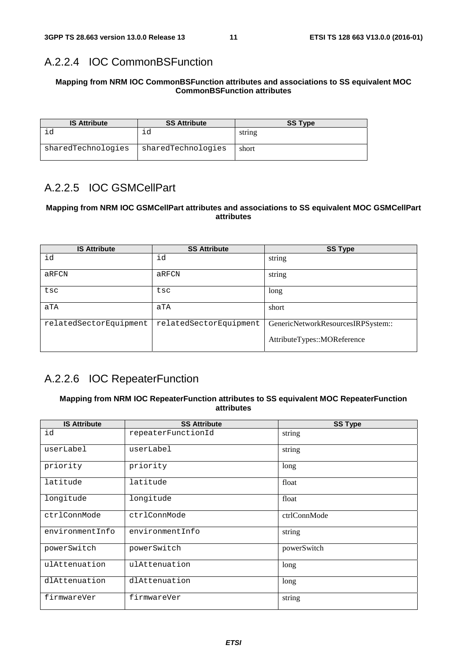#### A.2.2.4 IOC CommonBSFunction

#### **Mapping from NRM IOC CommonBSFunction attributes and associations to SS equivalent MOC CommonBSFunction attributes**

| <b>IS Attribute</b> | <b>SS Attribute</b> | <b>SS Type</b> |
|---------------------|---------------------|----------------|
|                     | ıd                  | string         |
| sharedTechnologies  | sharedTechnologies  | short          |

#### A.2.2.5 IOC GSMCellPart

#### **Mapping from NRM IOC GSMCellPart attributes and associations to SS equivalent MOC GSMCellPart attributes**

| <b>IS Attribute</b>    | <b>SS Attribute</b>    | <b>SS Type</b>                                                    |
|------------------------|------------------------|-------------------------------------------------------------------|
| id                     | id                     | string                                                            |
| aRFCN                  | aRFCN                  | string                                                            |
| tsc                    | tsc                    | long                                                              |
| aTA                    | aTA                    | short                                                             |
| relatedSectorEquipment | relatedSectorEquipment | GenericNetworkResourcesIRPSystem::<br>AttributeTypes::MOReference |

#### A.2.2.6 IOC RepeaterFunction

#### **Mapping from NRM IOC RepeaterFunction attributes to SS equivalent MOC RepeaterFunction attributes**

| <b>IS Attribute</b> | <b>SS Attribute</b> | <b>SS Type</b> |
|---------------------|---------------------|----------------|
| id                  | repeaterFunctionId  | string         |
| userLabel           | userLabel           | string         |
| priority            | priority            | long           |
| latitude            | latitude            | float          |
| longitude           | longitude           | float          |
| ctrlConnMode        | ctrlConnMode        | ctrlConnMode   |
| environmentInfo     | environmentInfo     | string         |
| powerSwitch         | powerSwitch         | powerSwitch    |
| ulAttenuation       | ulAttenuation       | long           |
| dlAttenuation       | dlAttenuation       | long           |
| firmwareVer         | firmwareVer         | string         |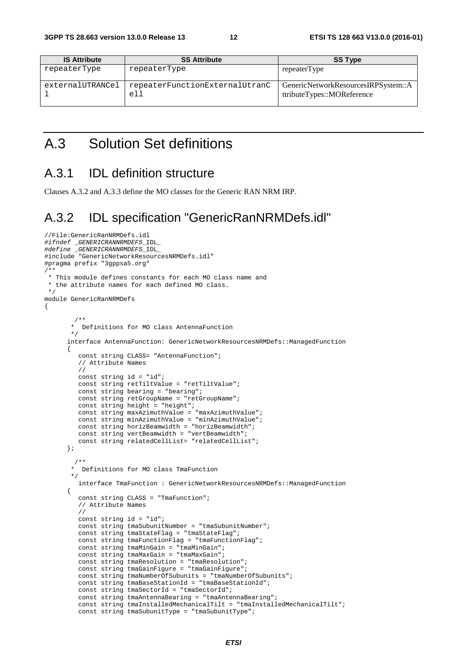| <b>IS Attribute</b> | <b>SS Attribute</b>                   | <b>SS Type</b>                                                    |
|---------------------|---------------------------------------|-------------------------------------------------------------------|
| repeaterType        | repeaterType                          | repeaterType                                                      |
| externalUTRANCel    | repeaterFunctionExternalUtranC<br>e11 | GenericNetworkResourcesIRPSystem::A<br>ttributeTypes::MOReference |

### A.3 Solution Set definitions

#### A.3.1 IDL definition structure

Clauses A.3.2 and A.3.3 define the MO classes for the Generic RAN NRM IRP.

#### A.3.2 IDL specification "GenericRanNRMDefs.idl"

```
//File:GenericRanNRMDefs.idl 
#ifndef _GENERICRANNRMDEFS_IDL_ 
#define _GENERICRANNRMDEFS_IDL_ 
#include "GenericNetworkResourcesNRMDefs.idl" 
#pragma prefix "3gppsa5.org" 
/** 
  * This module defines constants for each MO class name and 
  * the attribute names for each defined MO class. 
  */ 
module GenericRanNRMDefs 
{ 
 /** 
         * Definitions for MO class AntennaFunction 
        \star interface AntennaFunction: GenericNetworkResourcesNRMDefs::ManagedFunction 
\left\{ \begin{array}{ccc} 0 & 0 & 0 \\ 0 & 0 & 0 \\ 0 & 0 & 0 \\ 0 & 0 & 0 \\ 0 & 0 & 0 \\ 0 & 0 & 0 \\ 0 & 0 & 0 \\ 0 & 0 & 0 \\ 0 & 0 & 0 \\ 0 & 0 & 0 \\ 0 & 0 & 0 \\ 0 & 0 & 0 \\ 0 & 0 & 0 \\ 0 & 0 & 0 & 0 \\ 0 & 0 & 0 & 0 \\ 0 & 0 & 0 & 0 \\ 0 & 0 & 0 & 0 \\ 0 & 0 & 0 & 0 & 0 \\ 0 & 0 & 0 & 0 & 0 \\ 0 & 0 & 0 & 0 & 0 const string CLASS= "AntennaFunction"; 
            // Attribute Names 
            // 
            const string id = "id"; 
            const string retTiltValue = "retTiltValue"; 
            const string bearing = "bearing"; 
            const string retGroupName = "retGroupName"; 
            const string height = "height"; 
            const string maxAzimuthValue = "maxAzimuthValue"; 
            const string minAzimuthValue = "minAzimuthValue"; 
            const string horizBeamwidth = "horizBeamwidth"; 
            const string vertBeamwidth = "vertBeamwidth"; 
           const string relatedCellList= "relatedCellList";
        }; 
          /** 
          * Definitions for MO class TmaFunction 
         */ 
            interface TmaFunction : GenericNetworkResourcesNRMDefs::ManagedFunction 
        { 
            const string CLASS = "TmaFunction"; 
            // Attribute Names 
            // 
            const string id = "id"; 
            const string tmaSubunitNumber = "tmaSubunitNumber"; 
            const string tmaStateFlag = "tmaStateFlag"; 
            const string tmaFunctionFlag = "tmaFunctionFlag"; 
            const string tmaMinGain = "tmaMinGain"; 
            const string tmaMaxGain = "tmaMaxGain"; 
            const string tmaResolution = "tmaResolution"; 
            const string tmaGainFigure = "tmaGainFigure"; 
            const string tmaNumberOfSubunits = "tmaNumberOfSubunits"; 
            const string tmaBaseStationId = "tmaBaseStationId"; 
            const string tmaSectorId = "tmaSectorId"; 
            const string tmaAntennaBearing = "tmaAntennaBearing"; 
            const string tmaInstalledMechanicalTilt = "tmaInstalledMechanicalTilt"; 
            const string tmaSubunitType = "tmaSubunitType";
```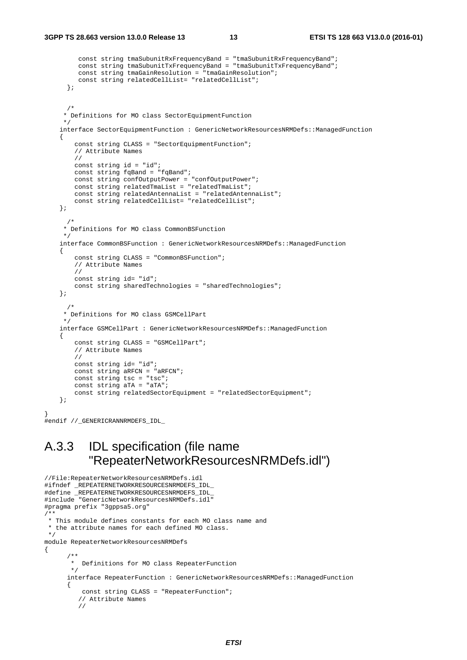}

```
 const string tmaSubunitRxFrequencyBand = "tmaSubunitRxFrequencyBand"; 
          const string tmaSubunitTxFrequencyBand = "tmaSubunitTxFrequencyBand"; 
          const string tmaGainResolution = "tmaGainResolution"; 
          const string relatedCellList= "relatedCellList"; 
       }; 
/ *
      * Definitions for MO class SectorEquipmentFunction 
      */ 
     interface SectorEquipmentFunction : GenericNetworkResourcesNRMDefs::ManagedFunction 
     { 
         const string CLASS = "SectorEquipmentFunction"; 
         // Attribute Names 
         // 
         const string id = "id"; 
         const string fqBand = "fqBand"; 
         const string confOutputPower = "confOutputPower"; 
         const string relatedTmaList = "relatedTmaList"; 
         const string relatedAntennaList = "relatedAntennaList"; 
         const string relatedCellList= "relatedCellList"; 
     }; 
 /* 
      * Definitions for MO class CommonBSFunction 
 */ 
     interface CommonBSFunction : GenericNetworkResourcesNRMDefs::ManagedFunction 
     { 
         const string CLASS = "CommonBSFunction"; 
         // Attribute Names 
         // 
        const string id= "id";
         const string sharedTechnologies = "sharedTechnologies"; 
     }; 
       /* 
      * Definitions for MO class GSMCellPart 
      */ 
     interface GSMCellPart : GenericNetworkResourcesNRMDefs::ManagedFunction 
     { 
         const string CLASS = "GSMCellPart"; 
         // Attribute Names 
         // 
        const string id= "id";
         const string aRFCN = "aRFCN"; 
         const string tsc = "tsc"; 
        const string aTA = "aTA"; const string relatedSectorEquipment = "relatedSectorEquipment"; 
     }; 
#endif //_GENERICRANNRMDEFS_IDL_
```
### A.3.3 IDL specification (file name "RepeaterNetworkResourcesNRMDefs.idl")

```
//File:RepeaterNetworkResourcesNRMDefs.idl 
#ifndef _REPEATERNETWORKRESOURCESNRMDEFS_IDL_ 
#define _REPEATERNETWORKRESOURCESNRMDEFS_IDL_ 
#include "GenericNetworkResourcesNRMDefs.idl" 
#pragma prefix "3gppsa5.org" 
/** 
 * This module defines constants for each MO class name and 
  * the attribute names for each defined MO class. 
  */ 
module RepeaterNetworkResourcesNRMDefs 
{ 
 /** 
        * Definitions for MO class RepeaterFunction 
 */ 
       interface RepeaterFunction : GenericNetworkResourcesNRMDefs::ManagedFunction 
       { 
           const string CLASS = "RepeaterFunction"; 
          // Attribute Names 
          //
```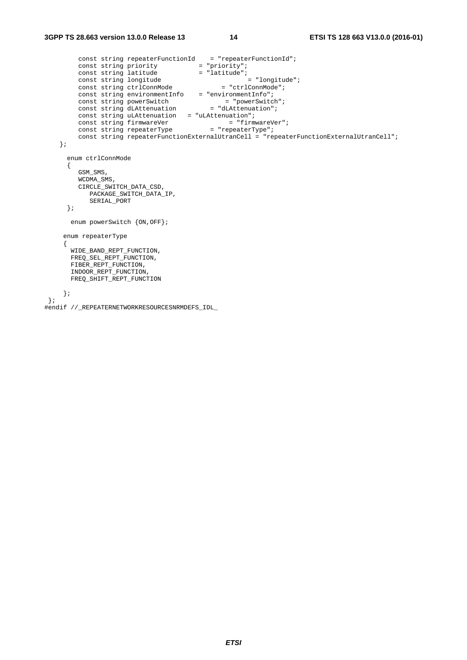```
const string repeaterFunctionId = "repeaterFunctionId";
const string priority = "priority";
const string latitude = "latitude";
const string longitude = "longitude";
const string ctrlConnMode = "ctrlConnMode";
 const string environmentInfo = "environmentInfo"; 
const string powerSwitch = "powerSwitch";
const string dLAttenuation = "dLAttenuation";
       const string uLAttenuation = "uLAttenuation";
const string firmwareVer = "firmwareVer";
const string repeaterType = "repeaterType";
        const string repeaterFunctionExternalUtranCell = "repeaterFunctionExternalUtranCell"; 
    }; 
      enum ctrlConnMode 
      { 
        GSM_SMS, 
        WCDMA_SMS, 
        CIRCLE_SWITCH_DATA_CSD, 
          PACKAGE_SWITCH_DATA_IP, 
          SERIAL_PORT 
      }; 
      enum powerSwitch {ON,OFF}; 
     enum repeaterType 
     { 
      WIDE_BAND_REPT_FUNCTION, 
     FREQSEL REPTFUNCTION,
     FIBER_REPT_FUNCTION,
      INDOOR_REPT_FUNCTION, 
      FREQ_SHIFT_REPT_FUNCTION 
    }; 
 }; 
#endif //_REPEATERNETWORKRESOURCESNRMDEFS_IDL_
```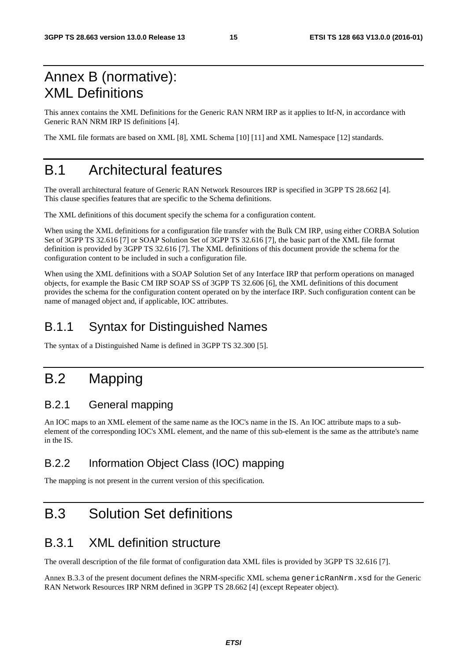## Annex B (normative): XML Definitions

This annex contains the XML Definitions for the Generic RAN NRM IRP as it applies to Itf-N, in accordance with Generic RAN NRM IRP IS definitions [4].

The XML file formats are based on XML [8], XML Schema [10] [11] and XML Namespace [12] standards.

## B.1 Architectural features

The overall architectural feature of Generic RAN Network Resources IRP is specified in 3GPP TS 28.662 [4]. This clause specifies features that are specific to the Schema definitions.

The XML definitions of this document specify the schema for a configuration content.

When using the XML definitions for a configuration file transfer with the Bulk CM IRP, using either CORBA Solution Set of 3GPP TS 32.616 [7] or SOAP Solution Set of 3GPP TS 32.616 [7], the basic part of the XML file format definition is provided by 3GPP TS 32.616 [7]. The XML definitions of this document provide the schema for the configuration content to be included in such a configuration file.

When using the XML definitions with a SOAP Solution Set of any Interface IRP that perform operations on managed objects, for example the Basic CM IRP SOAP SS of 3GPP TS 32.606 [6], the XML definitions of this document provides the schema for the configuration content operated on by the interface IRP. Such configuration content can be name of managed object and, if applicable, IOC attributes.

## B.1.1 Syntax for Distinguished Names

The syntax of a Distinguished Name is defined in 3GPP TS 32.300 [5].

## B.2 Mapping

#### B.2.1 General mapping

An IOC maps to an XML element of the same name as the IOC's name in the IS. An IOC attribute maps to a subelement of the corresponding IOC's XML element, and the name of this sub-element is the same as the attribute's name in the IS.

#### B.2.2 Information Object Class (IOC) mapping

The mapping is not present in the current version of this specification.

## B.3 Solution Set definitions

### B.3.1 XML definition structure

The overall description of the file format of configuration data XML files is provided by 3GPP TS 32.616 [7].

Annex B.3.3 of the present document defines the NRM-specific XML schema genericRanNrm.xsd for the Generic RAN Network Resources IRP NRM defined in 3GPP TS 28.662 [4] (except Repeater object).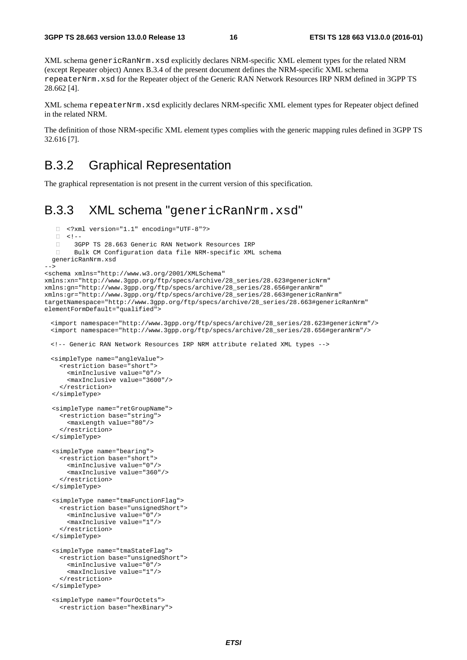XML schema genericRanNrm.xsd explicitly declares NRM-specific XML element types for the related NRM (except Repeater object) Annex B.3.4 of the present document defines the NRM-specific XML schema repeaterNrm.xsd for the Repeater object of the Generic RAN Network Resources IRP NRM defined in 3GPP TS 28.662 [4].

XML schema repeaterNrm.xsd explicitly declares NRM-specific XML element types for Repeater object defined in the related NRM.

The definition of those NRM-specific XML element types complies with the generic mapping rules defined in 3GPP TS 32.616 [7].

#### B.3.2 Graphical Representation

The graphical representation is not present in the current version of this specification.

#### B.3.3 XML schema "genericRanNrm.xsd"

```
\Box <?xml version="1.1" encoding="UTF-8"?>
   \begin{array}{ccc}\n\Box & & & & & & \\
\Box & & & & & & \\
\Box & & & & & & \\
\Box & & & & & & \\
\Box & & & & & & \\
\end{array}3GPP TS 28.663 Generic RAN Network Resources IRP
         Bulk CM Configuration data file NRM-specific XML schema 
   genericRanNrm.xsd 
--> 
<schema xmlns="http://www.w3.org/2001/XMLSchema" 
xmlns:xn="http://www.3gpp.org/ftp/specs/archive/28_series/28.623#genericNrm" 
xmlns:gn="http://www.3gpp.org/ftp/specs/archive/28_series/28.656#geranNrm" 
xmlns:gr="http://www.3gpp.org/ftp/specs/archive/28_series/28.663#genericRanNrm" 
targetNamespace="http://www.3gpp.org/ftp/specs/archive/28_series/28.663#genericRanNrm" 
elementFormDefault="qualified"> 
   <import namespace="http://www.3gpp.org/ftp/specs/archive/28_series/28.623#genericNrm"/> 
 <import namespace="http://www.3gpp.org/ftp/specs/archive/28_series/28.656#geranNrm"/> 
 <!-- Generic RAN Network Resources IRP NRM attribute related XML types --> 
 <simpleType name="angleValue"> 
     <restriction base="short"> 
       <minInclusive value="0"/> 
       <maxInclusive value="3600"/> 
     </restriction> 
   </simpleType> 
   <simpleType name="retGroupName"> 
     <restriction base="string"> 
       <maxLength value="80"/> 
     </restriction> 
   </simpleType> 
   <simpleType name="bearing"> 
     <restriction base="short"> 
       <minInclusive value="0"/> 
        <maxInclusive value="360"/> 
     </restriction> 
  </simpleType> 
  <simpleType name="tmaFunctionFlag"> 
     <restriction base="unsignedShort"> 
       <minInclusive value="0"/> 
       <maxInclusive value="1"/> 
     </restriction> 
   </simpleType> 
   <simpleType name="tmaStateFlag"> 
     <restriction base="unsignedShort"> 
       <minInclusive value="0"/> 
        <maxInclusive value="1"/> 
     </restriction> 
   </simpleType> 
   <simpleType name="fourOctets"> 
     <restriction base="hexBinary">
```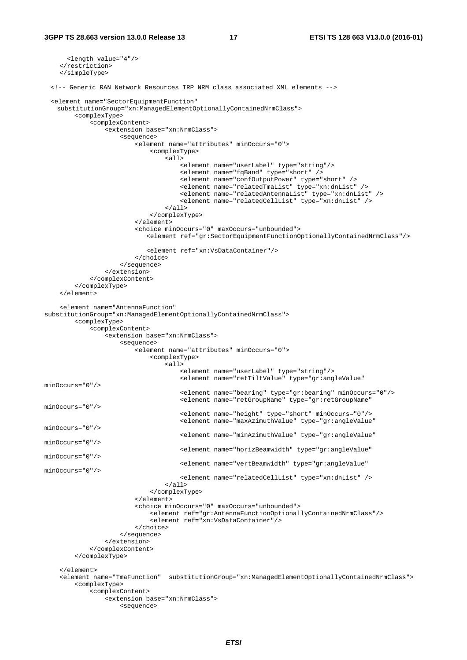```
 <length value="4"/> 
     </restriction> 
     </simpleType> 
  <!-- Generic RAN Network Resources IRP NRM class associated XML elements --> 
 <element name="SectorEquipmentFunction" 
   substitutionGroup="xn:ManagedElementOptionallyContainedNrmClass"> 
         <complexType> 
              <complexContent> 
                  <extension base="xn:NrmClass"> 
                       <sequence> 
                           <element name="attributes" minOccurs="0"> 
                               <complexType> 
                                   <sub>all</sub></sub>
                                        <element name="userLabel" type="string"/> 
                                        <element name="fqBand" type="short" /> 
                                        <element name="confOutputPower" type="short" /> 
                                        <element name="relatedTmaList" type="xn:dnList" /> 
                                        <element name="relatedAntennaList" type="xn:dnList" /> 
                                        <element name="relatedCellList" type="xn:dnList" /> 
                                   \sim/all\sim </complexType> 
                           </element> 
                           <choice minOccurs="0" maxOccurs="unbounded"> 
                             <element ref="gr:SectorEquipmentFunctionOptionallyContainedNrmClass"/> 
                             <element ref="xn:VsDataContainer"/> 
                           </choice> 
                      </sequence> 
                  </extension> 
              </complexContent> 
          </complexType> 
     </element> 
     <element name="AntennaFunction" 
substitutionGroup="xn:ManagedElementOptionallyContainedNrmClass"> 
         <complexType> 
              <complexContent> 
                  <extension base="xn:NrmClass"> 
                       <sequence> 
                           <element name="attributes" minOccurs="0"> 
                               <complexType> 
                                    <all> 
                                        <element name="userLabel" type="string"/> 
                                        <element name="retTiltValue" type="gr:angleValue" 
minOccurs="0"/> 
                                        <element name="bearing" type="gr:bearing" minOccurs="0"/> 
                                        <element name="retGroupName" type="gr:retGroupName" 
minOccurs="0"/> 
                                        <element name="height" type="short" minOccurs="0"/> 
                                        <element name="maxAzimuthValue" type="gr:angleValue" 
minOccurs="0"/> 
                                        <element name="minAzimuthValue" type="gr:angleValue" 
minOccurs="0"/> 
                                        <element name="horizBeamwidth" type="gr:angleValue" 
minOccurs="0"/> 
                                        <element name="vertBeamwidth" type="gr:angleValue" 
minOccurs="0"/> 
                                        <element name="relatedCellList" type="xn:dnList" /> 
                                   \langleall\rangle </complexType> 
                           </element> 
                           <choice minOccurs="0" maxOccurs="unbounded"> 
                               <element ref="gr:AntennaFunctionOptionallyContainedNrmClass"/> 
                               <element ref="xn:VsDataContainer"/> 
                           </choice> 
                      </sequence> 
                  </extension> 
              </complexContent> 
          </complexType> 
     </element> 
     <element name="TmaFunction" substitutionGroup="xn:ManagedElementOptionallyContainedNrmClass"> 
          <complexType> 
              <complexContent> 
                  <extension base="xn:NrmClass"> 
                      <sequence>
```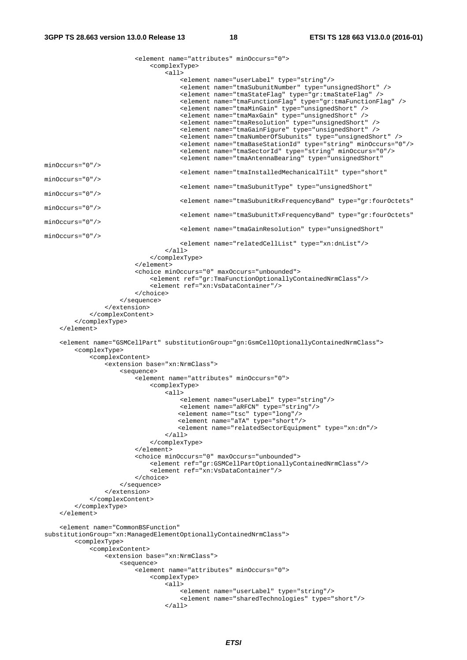<element name="attributes" minOccurs="0"> <complexType>  $\overline{\leq}$ all> <element name="userLabel" type="string"/> <element name="tmaSubunitNumber" type="unsignedShort" /> <element name="tmaStateFlag" type="gr:tmaStateFlag" /> <element name="tmaFunctionFlag" type="gr:tmaFunctionFlag" /> <element name="tmaMinGain" type="unsignedShort" /> <element name="tmaMaxGain" type="unsignedShort" /> <element name="tmaResolution" type="unsignedShort" /> <element name="tmaGainFigure" type="unsignedShort" /> <element name="tmaNumberOfSubunits" type="unsignedShort" /> <element name="tmaBaseStationId" type="string" minOccurs="0"/> <element name="tmaSectorId" type="string" minOccurs="0"/> <element name="tmaAntennaBearing" type="unsignedShort" minOccurs="0"/> <element name="tmaInstalledMechanicalTilt" type="short" minOccurs="0"/> <element name="tmaSubunitType" type="unsignedShort" minOccurs="0"/> <element name="tmaSubunitRxFrequencyBand" type="gr:fourOctets" minOccurs="0"/> <element name="tmaSubunitTxFrequencyBand" type="gr:fourOctets" minOccurs="0"/> <element name="tmaGainResolution" type="unsignedShort" minOccurs="0"/> <element name="relatedCellList" type="xn:dnList"/>  $\langle$ all $\rangle$  </complexType>  $\epsilon$ /element> <choice minOccurs="0" maxOccurs="unbounded"> <element ref="gr:TmaFunctionOptionallyContainedNrmClass"/> <element ref="xn:VsDataContainer"/> </choice> </sequence> </extension> </complexContent> </complexType>  $\epsilon$ /element> <element name="GSMCellPart" substitutionGroup="gn:GsmCellOptionallyContainedNrmClass"> <complexType> <complexContent> <extension base="xn:NrmClass"> <sequence> <element name="attributes" minOccurs="0"> <complexType> <all> <element name="userLabel" type="string"/> <element name="aRFCN" type="string"/> <element name="tsc" type="long"/> <element name="aTA" type="short"/> <element name="relatedSectorEquipment" type="xn:dn"/>  $\langle$ all $\rangle$  </complexType> </element> <choice minOccurs="0" maxOccurs="unbounded"> <element ref="gr:GSMCellPartOptionallyContainedNrmClass"/> <element ref="xn:VsDataContainer"/> </choice> </sequence> </extension> </complexContent> </complexType> </element> <element name="CommonBSFunction" substitutionGroup="xn:ManagedElementOptionallyContainedNrmClass"> <complexType> <complexContent> <extension base="xn:NrmClass"> <sequence> <element name="attributes" minOccurs="0"> <complexType>  $<sub>all</sub>$ </sub> <element name="userLabel" type="string"/> <element name="sharedTechnologies" type="short"/>  $\langle$ all $\rangle$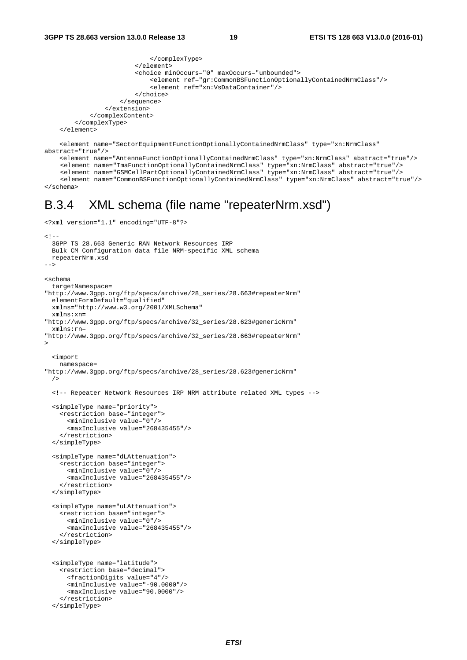```
 </complexType> 
                          </element> 
                           <choice minOccurs="0" maxOccurs="unbounded"> 
                               <element ref="gr:CommonBSFunctionOptionallyContainedNrmClass"/> 
                               <element ref="xn:VsDataContainer"/> 
                          </choice> 
                      </sequence> 
                  </extension> 
             </complexContent> 
         </complexType> 
     </element> 
     <element name="SectorEquipmentFunctionOptionallyContainedNrmClass" type="xn:NrmClass" 
abstract="true"/> 
     <element name="AntennaFunctionOptionallyContainedNrmClass" type="xn:NrmClass" abstract="true"/>
```

```
<element name="TmaFunctionOptionallyContainedNrmClass" type="xn:NrmClass" abstract="true"/> 
    <element name="GSMCellPartOptionallyContainedNrmClass" type="xn:NrmClass" abstract="true"/> 
    <element name="CommonBSFunctionOptionallyContainedNrmClass" type="xn:NrmClass" abstract="true"/> 
</schema>
```
#### B.3.4 XML schema (file name "repeaterNrm.xsd")

```
<?xml version="1.1" encoding="UTF-8"?> 
2 - 1 - 1 3GPP TS 28.663 Generic RAN Network Resources IRP 
   Bulk CM Configuration data file NRM-specific XML schema 
  repeaterNrm.xsd 
--> 
<schema 
   targetNamespace= 
"http://www.3gpp.org/ftp/specs/archive/28_series/28.663#repeaterNrm" 
   elementFormDefault="qualified" 
   xmlns="http://www.w3.org/2001/XMLSchema" 
   xmlns:xn= 
"http://www.3gpp.org/ftp/specs/archive/32_series/28.623#genericNrm" 
  xmlns:rn= 
"http://www.3gpp.org/ftp/specs/archive/32_series/28.663#repeaterNrm" 
> <import 
    namespace= 
"http://www.3gpp.org/ftp/specs/archive/28_series/28.623#genericNrm" 
   /> 
   <!-- Repeater Network Resources IRP NRM attribute related XML types --> 
   <simpleType name="priority"> 
     <restriction base="integer"> 
       <minInclusive value="0"/> 
       <maxInclusive value="268435455"/> 
     </restriction> 
   </simpleType> 
   <simpleType name="dLAttenuation"> 
     <restriction base="integer"> 
       <minInclusive value="0"/> 
       <maxInclusive value="268435455"/> 
     </restriction> 
   </simpleType> 
   <simpleType name="uLAttenuation"> 
     <restriction base="integer"> 
       <minInclusive value="0"/> 
       <maxInclusive value="268435455"/> 
     </restriction> 
   </simpleType> 
   <simpleType name="latitude"> 
     <restriction base="decimal"> 
       <fractionDigits value="4"/> 
       <minInclusive value="-90.0000"/> 
       <maxInclusive value="90.0000"/> 
     </restriction> 
   </simpleType>
```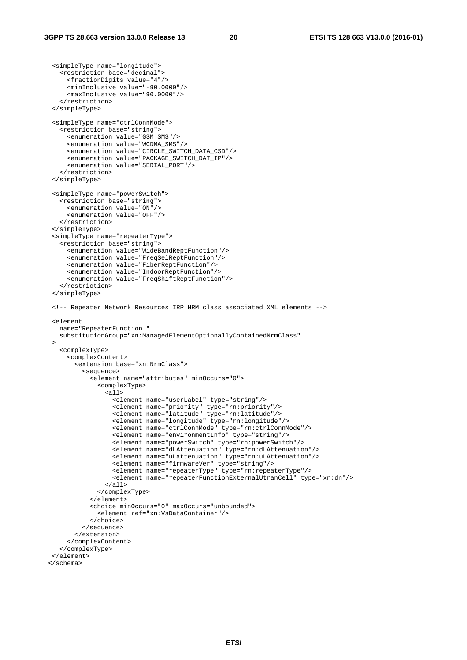<simpleType name="longitude">

```
 <restriction base="decimal"> 
       <fractionDigits value="4"/> 
       <minInclusive value="-90.0000"/> 
       <maxInclusive value="90.0000"/> 
     </restriction> 
  </simpleType> 
  <simpleType name="ctrlConnMode"> 
    <restriction base="string"> 
       <enumeration value="GSM_SMS"/> 
       <enumeration value="WCDMA_SMS"/> 
       <enumeration value="CIRCLE_SWITCH_DATA_CSD"/> 
       <enumeration value="PACKAGE_SWITCH_DAT_IP"/> 
       <enumeration value="SERIAL_PORT"/> 
     </restriction> 
  </simpleType> 
  <simpleType name="powerSwitch"> 
    <restriction base="string"> 
       <enumeration value="ON"/> 
       <enumeration value="OFF"/> 
     </restriction> 
  </simpleType> 
   <simpleType name="repeaterType"> 
     <restriction base="string"> 
       <enumeration value="WideBandReptFunction"/> 
       <enumeration value="FreqSelReptFunction"/> 
       <enumeration value="FiberReptFunction"/> 
       <enumeration value="IndoorReptFunction"/> 
       <enumeration value="FreqShiftReptFunction"/> 
     </restriction> 
  </simpleType> 
  <!-- Repeater Network Resources IRP NRM class associated XML elements --> 
  <element 
    name="RepeaterFunction " 
    substitutionGroup="xn:ManagedElementOptionallyContainedNrmClass" 
\rightarrow <complexType> 
       <complexContent> 
         <extension base="xn:NrmClass"> 
           <sequence> 
             <element name="attributes" minOccurs="0"> 
               <complexType> 
                 <all> 
                    <element name="userLabel" type="string"/> 
                    <element name="priority" type="rn:priority"/> 
                    <element name="latitude" type="rn:latitude"/> 
                    <element name="longitude" type="rn:longitude"/> 
                    <element name="ctrlConnMode" type="rn:ctrlConnMode"/> 
                    <element name="environmentInfo" type="string"/> 
                    <element name="powerSwitch" type="rn:powerSwitch"/> 
 <element name="dLAttenuation" type="rn:dLAttenuation"/> 
 <element name="uLattenuation" type="rn:uLAttenuation"/> 
                    <element name="firmwareVer" type="string"/> 
                    <element name="repeaterType" type="rn:repeaterType"/> 
                    <element name="repeaterFunctionExternalUtranCell" type="xn:dn"/> 
                 </all> 
               </complexType> 
             </element> 
             <choice minOccurs="0" maxOccurs="unbounded"> 
               <element ref="xn:VsDataContainer"/> 
             </choice> 
           </sequence> 
         </extension> 
       </complexContent> 
    </complexType> 
  </element> 
  </schema>
```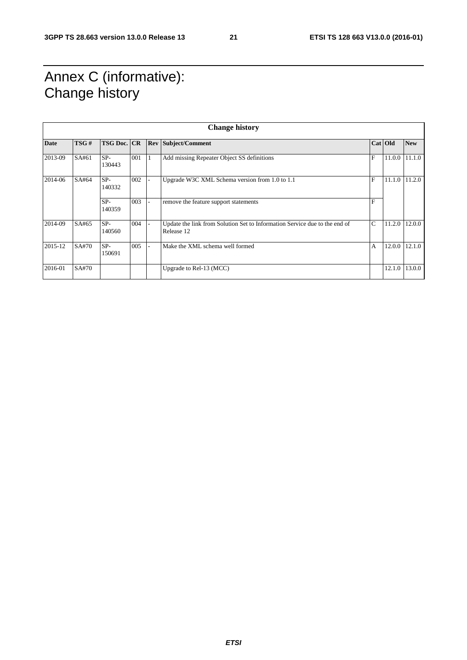## Annex C (informative): Change history

|             | <b>Change history</b> |                    |     |  |                                                                                          |               |           |            |
|-------------|-----------------------|--------------------|-----|--|------------------------------------------------------------------------------------------|---------------|-----------|------------|
| <b>Date</b> | TSG#                  | <b>TSG Doc. CR</b> |     |  | <b>Rev Subject/Comment</b>                                                               |               | Cat   Old | <b>New</b> |
| 2013-09     | SA#61                 | SP-<br>130443      | 001 |  | Add missing Repeater Object SS definitions                                               | F             | 11.0.0    | 11.1.0     |
| 2014-06     | SA#64                 | $SP-$<br>140332    | 002 |  | Upgrade W3C XML Schema version from 1.0 to 1.1                                           | $\mathbf{F}$  | 11.1.0    | 11.2.0     |
|             |                       | $SP-$<br>140359    | 003 |  | remove the feature support statements                                                    | $\mathbf{F}$  |           |            |
| 2014-09     | SA#65                 | $SP-$<br>140560    | 004 |  | Update the link from Solution Set to Information Service due to the end of<br>Release 12 | $\mathcal{C}$ | 11.2.0    | 12.0.0     |
| 2015-12     | SA#70                 | $SP-$<br>150691    | 005 |  | Make the XML schema well formed                                                          | $\mathsf{A}$  | 12.0.0    | 12.1.0     |
| 2016-01     | SA#70                 |                    |     |  | Upgrade to Rel-13 (MCC)                                                                  |               | 12.1.0    | 13.0.0     |